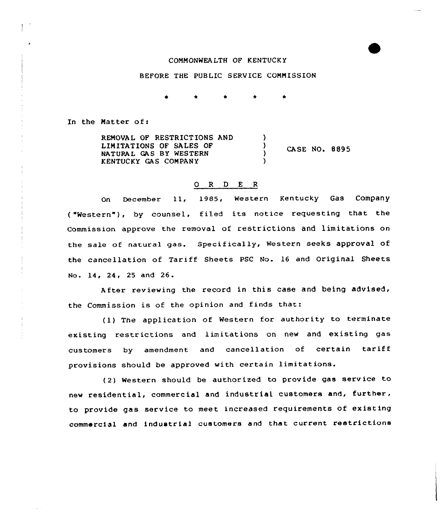## COMMONWEALTH OF KENTUCKY

## BEFORE THE PUBLIC SERVICE COMMISSION

In the Matter of:

REMOVAL OF RESTRICTIONS AND LIMITATIONS OF SALES OF NATURAL GAS BY WESTERN KENTUCKY GAS COMPAN Y )  $\frac{1}{2}$  CASE NO. 8895 )

## O R D E R

On December 11, 1985, western Kentucky Gas Company ("Western"), by counsel, filed its notice requesting that the Commission. approve the removal of restrictions and limitations on the sale of natural gas. Specifically, Western seeks approval of the cancellation of Tariff Sheets PSC No. 16 and Original Sheets No. 14, 24, 25 and 26.

After reviewing the record in this case and being advised, the Commission is of the opinion and finds that:

(1) The application of Western for authority to terminate existing restrictions and limitations on new and existing gas customers by amendment and cancellation of certain tariff provisions should be approved with certain limitations.

(2) Western should be authorized to provide gas serv ice to new residential, commercial and industrial customers and, further, to provide gas service to meet increased requirements of existing commercial and industrial customers and that current restrictions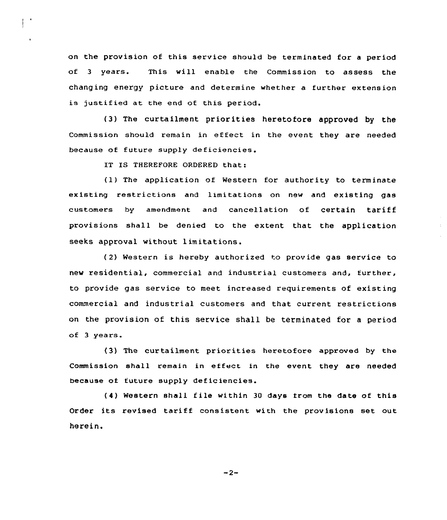on the provision of this service should be terminated for a period of <sup>3</sup> years. This will enable the Commission to assess the changing energy picture and determine whether a further extension is justified at the end of this period.

(3) The curtailment priorities heretofore approved by the Commission should remain in ef feet in the event they are needed because of future supply deficiencies.

IT IS THEREFORE ORDERED that:

 $\ddot{\phantom{a}}$ 

(1) The application of Western for authority to terminate existing restrictions and limitations on new and existing gas customers by amendment and cancellation of certain tariff provisions shall be denied to the extent that the application seeks approval without limitations.

( 2) Western is hereby authorized to provide gas service to new residential, commercial and industrial customers and, further, to provide gas service to meet increased requirements of existing commercial and industrial customers and that current restrictions on the provision of this service shall be terminated for a period of 3 years.

(3) The curtailment priorities heretofore approved by the Commission shall remain in effect in the event they are needed because of tuture supply deficiencies.

(4) Western shall file within <sup>30</sup> days from the date of this Order its revised tariff consistent with the provisions set out herein,

 $-2-$